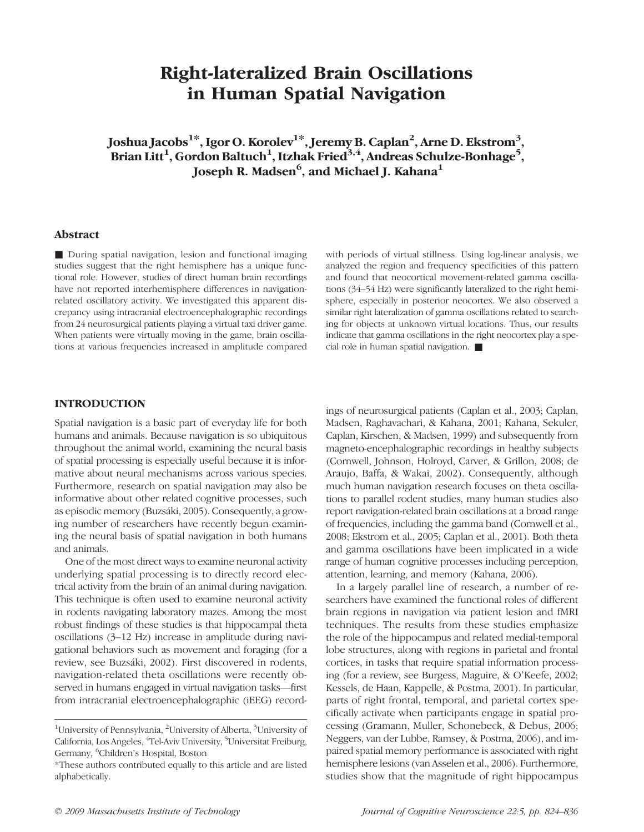# Right-lateralized Brain Oscillations in Human Spatial Navigation

Joshua Jacobs $^{1*}$ , Igor O. Korolev $^{1*}$ , Jeremy B. Caplan $^{2}$ , Arne D. Ekstrom $^{3},$ Brian Litt $^1$ , Gordon Baltuch $^1$ , Itzhak Fried $^{\rm 3,4}$ , Andreas Schulze-Bonhage $^{\rm 5}$ , Joseph R. Madsen $^6$ , and Michael J. Kahana $^1$ 

#### Abstract

■ During spatial navigation, lesion and functional imaging studies suggest that the right hemisphere has a unique functional role. However, studies of direct human brain recordings have not reported interhemisphere differences in navigationrelated oscillatory activity. We investigated this apparent discrepancy using intracranial electroencephalographic recordings from 24 neurosurgical patients playing a virtual taxi driver game. When patients were virtually moving in the game, brain oscillations at various frequencies increased in amplitude compared with periods of virtual stillness. Using log-linear analysis, we analyzed the region and frequency specificities of this pattern and found that neocortical movement-related gamma oscillations (34–54 Hz) were significantly lateralized to the right hemisphere, especially in posterior neocortex. We also observed a similar right lateralization of gamma oscillations related to searching for objects at unknown virtual locations. Thus, our results indicate that gamma oscillations in the right neocortex play a special role in human spatial navigation. ■

## INTRODUCTION

Spatial navigation is a basic part of everyday life for both humans and animals. Because navigation is so ubiquitous throughout the animal world, examining the neural basis of spatial processing is especially useful because it is informative about neural mechanisms across various species. Furthermore, research on spatial navigation may also be informative about other related cognitive processes, such as episodic memory (Buzsáki, 2005). Consequently, a growing number of researchers have recently begun examining the neural basis of spatial navigation in both humans and animals.

One of the most direct ways to examine neuronal activity underlying spatial processing is to directly record electrical activity from the brain of an animal during navigation. This technique is often used to examine neuronal activity in rodents navigating laboratory mazes. Among the most robust findings of these studies is that hippocampal theta oscillations (3–12 Hz) increase in amplitude during navigational behaviors such as movement and foraging (for a review, see Buzsáki, 2002). First discovered in rodents, navigation-related theta oscillations were recently observed in humans engaged in virtual navigation tasks—first from intracranial electroencephalographic (iEEG) recordings of neurosurgical patients (Caplan et al., 2003; Caplan, Madsen, Raghavachari, & Kahana, 2001; Kahana, Sekuler, Caplan, Kirschen, & Madsen, 1999) and subsequently from magneto-encephalographic recordings in healthy subjects (Cornwell, Johnson, Holroyd, Carver, & Grillon, 2008; de Araujo, Baffa, & Wakai, 2002). Consequently, although much human navigation research focuses on theta oscillations to parallel rodent studies, many human studies also report navigation-related brain oscillations at a broad range of frequencies, including the gamma band (Cornwell et al., 2008; Ekstrom et al., 2005; Caplan et al., 2001). Both theta and gamma oscillations have been implicated in a wide range of human cognitive processes including perception, attention, learning, and memory (Kahana, 2006).

In a largely parallel line of research, a number of researchers have examined the functional roles of different brain regions in navigation via patient lesion and fMRI techniques. The results from these studies emphasize the role of the hippocampus and related medial-temporal lobe structures, along with regions in parietal and frontal cortices, in tasks that require spatial information processing (for a review, see Burgess, Maguire, & O'Keefe, 2002; Kessels, de Haan, Kappelle, & Postma, 2001). In particular, parts of right frontal, temporal, and parietal cortex specifically activate when participants engage in spatial processing (Gramann, Muller, Schonebeck, & Debus, 2006; Neggers, van der Lubbe, Ramsey, & Postma, 2006), and impaired spatial memory performance is associated with right hemisphere lesions (van Asselen et al., 2006). Furthermore, studies show that the magnitude of right hippocampus

<sup>&</sup>lt;sup>1</sup>University of Pennsylvania, <sup>2</sup>University of Alberta, <sup>3</sup>University of California, Los Angeles, <sup>4</sup>Tel-Aviv University, <sup>5</sup>Universitat Freiburg, Germany, <sup>6</sup>Children's Hospital, Boston

<sup>\*</sup>These authors contributed equally to this article and are listed alphabetically.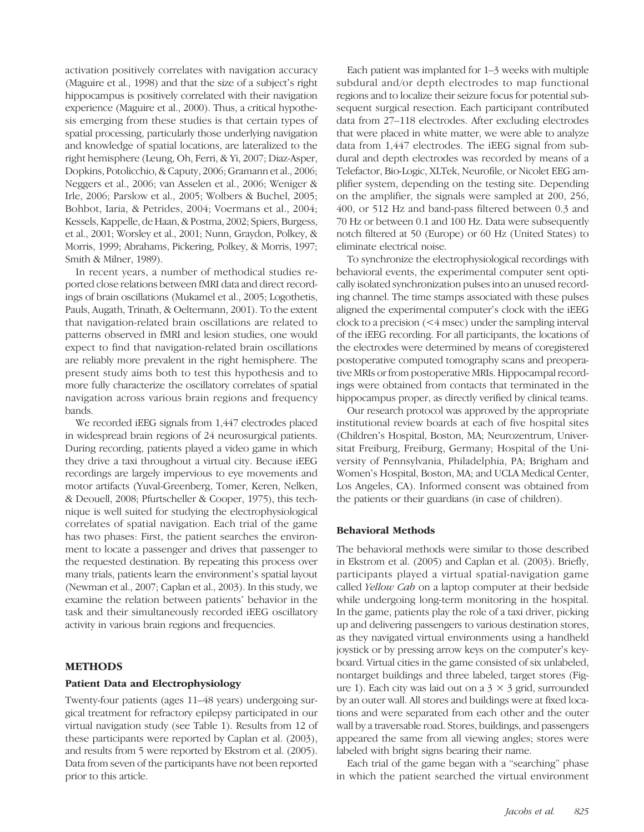activation positively correlates with navigation accuracy (Maguire et al., 1998) and that the size of a subject's right hippocampus is positively correlated with their navigation experience (Maguire et al., 2000). Thus, a critical hypothesis emerging from these studies is that certain types of spatial processing, particularly those underlying navigation and knowledge of spatial locations, are lateralized to the right hemisphere (Leung, Oh, Ferri, & Yi, 2007; Diaz-Asper, Dopkins, Potolicchio, & Caputy, 2006; Gramann et al., 2006; Neggers et al., 2006; van Asselen et al., 2006; Weniger & Irle, 2006; Parslow et al., 2005; Wolbers & Buchel, 2005; Bohbot, Iaria, & Petrides, 2004; Voermans et al., 2004; Kessels, Kappelle, de Haan, & Postma, 2002; Spiers, Burgess, et al., 2001; Worsley et al., 2001; Nunn, Graydon, Polkey, & Morris, 1999; Abrahams, Pickering, Polkey, & Morris, 1997; Smith & Milner, 1989).

In recent years, a number of methodical studies reported close relations between fMRI data and direct recordings of brain oscillations (Mukamel et al., 2005; Logothetis, Pauls, Augath, Trinath, & Oeltermann, 2001). To the extent that navigation-related brain oscillations are related to patterns observed in fMRI and lesion studies, one would expect to find that navigation-related brain oscillations are reliably more prevalent in the right hemisphere. The present study aims both to test this hypothesis and to more fully characterize the oscillatory correlates of spatial navigation across various brain regions and frequency bands.

We recorded iEEG signals from 1,447 electrodes placed in widespread brain regions of 24 neurosurgical patients. During recording, patients played a video game in which they drive a taxi throughout a virtual city. Because iEEG recordings are largely impervious to eye movements and motor artifacts (Yuval-Greenberg, Tomer, Keren, Nelken, & Deouell, 2008; Pfurtscheller & Cooper, 1975), this technique is well suited for studying the electrophysiological correlates of spatial navigation. Each trial of the game has two phases: First, the patient searches the environment to locate a passenger and drives that passenger to the requested destination. By repeating this process over many trials, patients learn the environment's spatial layout (Newman et al., 2007; Caplan et al., 2003). In this study, we examine the relation between patients' behavior in the task and their simultaneously recorded iEEG oscillatory activity in various brain regions and frequencies.

#### METHODS

#### Patient Data and Electrophysiology

Twenty-four patients (ages 11–48 years) undergoing surgical treatment for refractory epilepsy participated in our virtual navigation study (see Table 1). Results from 12 of these participants were reported by Caplan et al. (2003), and results from 5 were reported by Ekstrom et al. (2005). Data from seven of the participants have not been reported prior to this article.

Each patient was implanted for 1–3 weeks with multiple subdural and/or depth electrodes to map functional regions and to localize their seizure focus for potential subsequent surgical resection. Each participant contributed data from 27–118 electrodes. After excluding electrodes that were placed in white matter, we were able to analyze data from 1,447 electrodes. The iEEG signal from subdural and depth electrodes was recorded by means of a Telefactor, Bio-Logic, XLTek, Neurofile, or Nicolet EEG amplifier system, depending on the testing site. Depending on the amplifier, the signals were sampled at 200, 256, 400, or 512 Hz and band-pass filtered between 0.3 and 70 Hz or between 0.1 and 100 Hz. Data were subsequently notch filtered at 50 (Europe) or 60 Hz (United States) to eliminate electrical noise.

To synchronize the electrophysiological recordings with behavioral events, the experimental computer sent optically isolated synchronization pulses into an unused recording channel. The time stamps associated with these pulses aligned the experimental computer's clock with the iEEG clock to a precision (<4 msec) under the sampling interval of the iEEG recording. For all participants, the locations of the electrodes were determined by means of coregistered postoperative computed tomography scans and preoperative MRIs or from postoperative MRIs. Hippocampal recordings were obtained from contacts that terminated in the hippocampus proper, as directly verified by clinical teams.

Our research protocol was approved by the appropriate institutional review boards at each of five hospital sites (Children's Hospital, Boston, MA; Neurozentrum, Universitat Freiburg, Freiburg, Germany; Hospital of the University of Pennsylvania, Philadelphia, PA; Brigham and Women's Hospital, Boston, MA; and UCLA Medical Center, Los Angeles, CA). Informed consent was obtained from the patients or their guardians (in case of children).

#### Behavioral Methods

The behavioral methods were similar to those described in Ekstrom et al. (2005) and Caplan et al. (2003). Briefly, participants played a virtual spatial-navigation game called Yellow Cab on a laptop computer at their bedside while undergoing long-term monitoring in the hospital. In the game, patients play the role of a taxi driver, picking up and delivering passengers to various destination stores, as they navigated virtual environments using a handheld joystick or by pressing arrow keys on the computer's keyboard. Virtual cities in the game consisted of six unlabeled, nontarget buildings and three labeled, target stores (Figure 1). Each city was laid out on a  $3 \times 3$  grid, surrounded by an outer wall. All stores and buildings were at fixed locations and were separated from each other and the outer wall by a traversable road. Stores, buildings, and passengers appeared the same from all viewing angles; stores were labeled with bright signs bearing their name.

Each trial of the game began with a "searching" phase in which the patient searched the virtual environment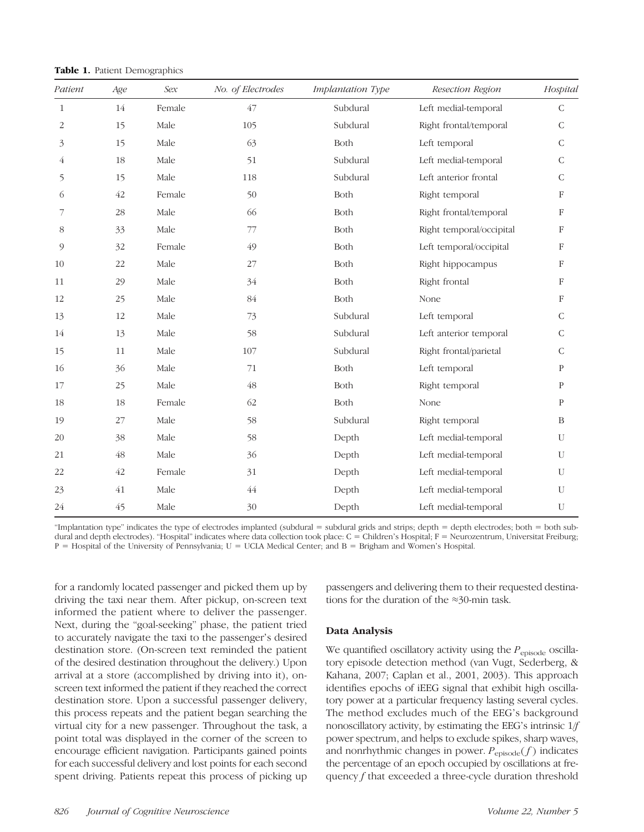Table 1. Patient Demographics

| Patient      | Age         | Sex    | No. of Electrodes | Implantation Type | Resection Region         | Hospital     |
|--------------|-------------|--------|-------------------|-------------------|--------------------------|--------------|
| $\mathbf{1}$ | 14          | Female | 47                | Subdural          | Left medial-temporal     | $\mathsf C$  |
| 2            | 15          | Male   | 105               | Subdural          | Right frontal/temporal   | $\mathsf C$  |
| 3            | 15          | Male   | 63                | Both              | Left temporal            | $\mathsf C$  |
| 4            | 18          | Male   | 51                | Subdural          | Left medial-temporal     | $\mathsf C$  |
| 5            | 15          | Male   | 118               | Subdural          | Left anterior frontal    | $\mathsf C$  |
| 6            | $42\,$      | Female | 50                | Both              | Right temporal           | ${\bf F}$    |
| 7            | 28          | Male   | 66                | Both              | Right frontal/temporal   | ${\bf F}$    |
| 8            | 33          | Male   | 77                | Both              | Right temporal/occipital | ${\bf F}$    |
| 9            | 32          | Female | 49                | Both              | Left temporal/occipital  | $\rm F$      |
| 10           | 22          | Male   | 27                | Both              | Right hippocampus        | ${\bf F}$    |
| 11           | 29          | Male   | 34                | Both              | Right frontal            | ${\bf F}$    |
| 12           | 25          | Male   | 84                | Both              | None                     | $\rm F$      |
| 13           | $12\,$      | Male   | 73                | Subdural          | Left temporal            | $\mathsf C$  |
| 14           | 13          | Male   | 58                | Subdural          | Left anterior temporal   | $\mathsf C$  |
| 15           | 11          | Male   | 107               | Subdural          | Right frontal/parietal   | $\mathsf C$  |
| 16           | 36          | Male   | $71\,$            | Both              | Left temporal            | ${\bf P}$    |
| 17           | 25          | Male   | 48                | Both              | Right temporal           | $\, {\bf P}$ |
| 18           | 18          | Female | 62                | Both              | None                     | ${\bf P}$    |
| 19           | 27          | Male   | 58                | Subdural          | Right temporal           | $\, {\bf B}$ |
| 20           | 38          | Male   | 58                | Depth             | Left medial-temporal     | U            |
| 21           | $\sqrt{48}$ | Male   | 36                | Depth             | Left medial-temporal     | U            |
| 22           | 42          | Female | 31                | Depth             | Left medial-temporal     | U            |
| 23           | $41\,$      | Male   | 44                | Depth             | Left medial-temporal     | U            |
| 24           | 45          | Male   | 30                | Depth             | Left medial-temporal     | ${\bf U}$    |

"Implantation type" indicates the type of electrodes implanted (subdural = subdural grids and strips; depth = depth electrodes; both = both subdural and depth electrodes). "Hospital" indicates where data collection took place: C = Children's Hospital; F = Neurozentrum, Universitat Freiburg; P = Hospital of the University of Pennsylvania; U = UCLA Medical Center; and B = Brigham and Women's Hospital.

for a randomly located passenger and picked them up by driving the taxi near them. After pickup, on-screen text informed the patient where to deliver the passenger. Next, during the "goal-seeking" phase, the patient tried to accurately navigate the taxi to the passenger's desired destination store. (On-screen text reminded the patient of the desired destination throughout the delivery.) Upon arrival at a store (accomplished by driving into it), onscreen text informed the patient if they reached the correct destination store. Upon a successful passenger delivery, this process repeats and the patient began searching the virtual city for a new passenger. Throughout the task, a point total was displayed in the corner of the screen to encourage efficient navigation. Participants gained points for each successful delivery and lost points for each second spent driving. Patients repeat this process of picking up

passengers and delivering them to their requested destinations for the duration of the ≈30-min task.

#### Data Analysis

We quantified oscillatory activity using the  $P_{\text{episode}}$  oscillatory episode detection method (van Vugt, Sederberg, & Kahana, 2007; Caplan et al., 2001, 2003). This approach identifies epochs of iEEG signal that exhibit high oscillatory power at a particular frequency lasting several cycles. The method excludes much of the EEG's background nonoscillatory activity, by estimating the EEG's intrinsic 1/f power spectrum, and helps to exclude spikes, sharp waves, and nonrhythmic changes in power.  $P_{\text{episode}}(f)$  indicates the percentage of an epoch occupied by oscillations at frequency f that exceeded a three-cycle duration threshold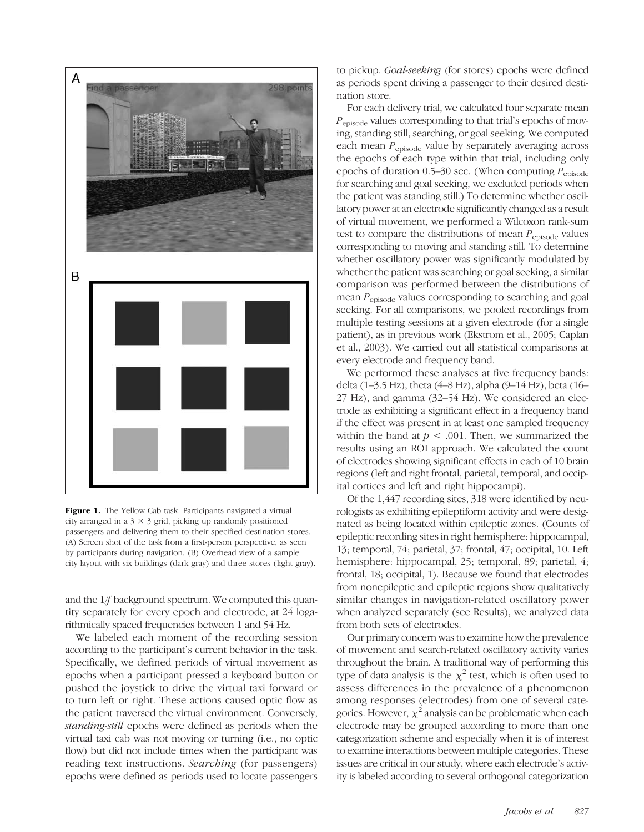

Figure 1. The Yellow Cab task. Participants navigated a virtual city arranged in a  $3 \times 3$  grid, picking up randomly positioned passengers and delivering them to their specified destination stores. (A) Screen shot of the task from a first-person perspective, as seen by participants during navigation. (B) Overhead view of a sample city layout with six buildings (dark gray) and three stores (light gray).

and the 1/f background spectrum. We computed this quantity separately for every epoch and electrode, at 24 logarithmically spaced frequencies between 1 and 54 Hz.

We labeled each moment of the recording session according to the participant's current behavior in the task. Specifically, we defined periods of virtual movement as epochs when a participant pressed a keyboard button or pushed the joystick to drive the virtual taxi forward or to turn left or right. These actions caused optic flow as the patient traversed the virtual environment. Conversely, standing-still epochs were defined as periods when the virtual taxi cab was not moving or turning (i.e., no optic flow) but did not include times when the participant was reading text instructions. Searching (for passengers) epochs were defined as periods used to locate passengers

to pickup. Goal-seeking (for stores) epochs were defined as periods spent driving a passenger to their desired destination store.

For each delivery trial, we calculated four separate mean Pepisode values corresponding to that trial's epochs of moving, standing still, searching, or goal seeking. We computed each mean  $P_{\text{episode}}$  value by separately averaging across the epochs of each type within that trial, including only epochs of duration 0.5–30 sec. (When computing  $P_{\text{episode}}$ for searching and goal seeking, we excluded periods when the patient was standing still.) To determine whether oscillatory power at an electrode significantly changed as a result of virtual movement, we performed a Wilcoxon rank-sum test to compare the distributions of mean  $P_{\text{episode}}$  values corresponding to moving and standing still. To determine whether oscillatory power was significantly modulated by whether the patient was searching or goal seeking, a similar comparison was performed between the distributions of mean  $P_{\text{episode}}$  values corresponding to searching and goal seeking. For all comparisons, we pooled recordings from multiple testing sessions at a given electrode (for a single patient), as in previous work (Ekstrom et al., 2005; Caplan et al., 2003). We carried out all statistical comparisons at every electrode and frequency band.

We performed these analyses at five frequency bands: delta (1–3.5 Hz), theta (4–8 Hz), alpha (9–14 Hz), beta (16– 27 Hz), and gamma (32–54 Hz). We considered an electrode as exhibiting a significant effect in a frequency band if the effect was present in at least one sampled frequency within the band at  $p < .001$ . Then, we summarized the results using an ROI approach. We calculated the count of electrodes showing significant effects in each of 10 brain regions (left and right frontal, parietal, temporal, and occipital cortices and left and right hippocampi).

Of the 1,447 recording sites, 318 were identified by neurologists as exhibiting epileptiform activity and were designated as being located within epileptic zones. (Counts of epileptic recording sites in right hemisphere: hippocampal, 13; temporal, 74; parietal, 37; frontal, 47; occipital, 10. Left hemisphere: hippocampal, 25; temporal, 89; parietal, 4; frontal, 18; occipital, 1). Because we found that electrodes from nonepileptic and epileptic regions show qualitatively similar changes in navigation-related oscillatory power when analyzed separately (see Results), we analyzed data from both sets of electrodes.

Our primary concern was to examine how the prevalence of movement and search-related oscillatory activity varies throughout the brain. A traditional way of performing this type of data analysis is the  $\chi^2$  test, which is often used to assess differences in the prevalence of a phenomenon among responses (electrodes) from one of several categories. However,  $\chi^2$  analysis can be problematic when each electrode may be grouped according to more than one categorization scheme and especially when it is of interest to examine interactions between multiple categories. These issues are critical in our study, where each electrode's activity is labeled according to several orthogonal categorization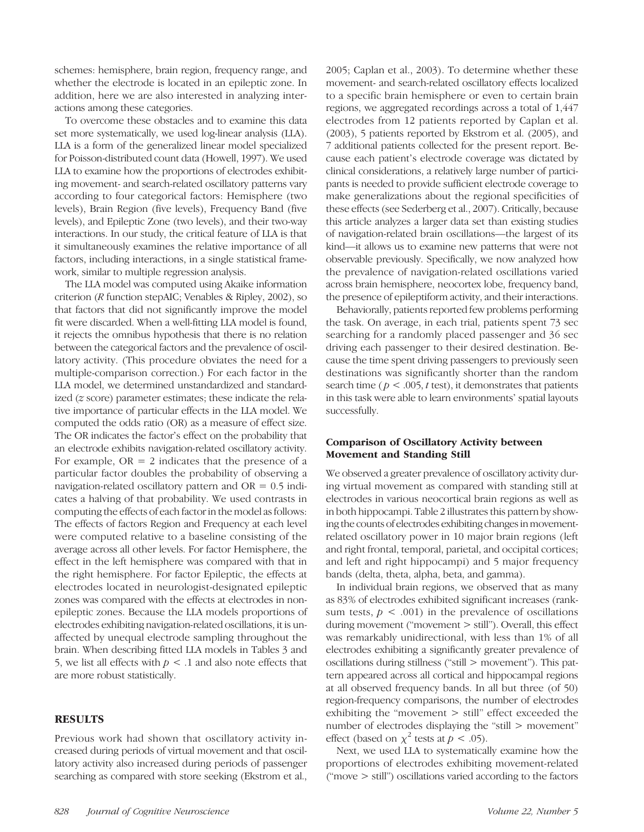schemes: hemisphere, brain region, frequency range, and whether the electrode is located in an epileptic zone. In addition, here we are also interested in analyzing interactions among these categories.

To overcome these obstacles and to examine this data set more systematically, we used log-linear analysis (LLA). LLA is a form of the generalized linear model specialized for Poisson-distributed count data (Howell, 1997). We used LLA to examine how the proportions of electrodes exhibiting movement- and search-related oscillatory patterns vary according to four categorical factors: Hemisphere (two levels), Brain Region (five levels), Frequency Band (five levels), and Epileptic Zone (two levels), and their two-way interactions. In our study, the critical feature of LLA is that it simultaneously examines the relative importance of all factors, including interactions, in a single statistical framework, similar to multiple regression analysis.

The LLA model was computed using Akaike information criterion (R function stepAIC; Venables & Ripley, 2002), so that factors that did not significantly improve the model fit were discarded. When a well-fitting LLA model is found, it rejects the omnibus hypothesis that there is no relation between the categorical factors and the prevalence of oscillatory activity. (This procedure obviates the need for a multiple-comparison correction.) For each factor in the LLA model, we determined unstandardized and standardized (z score) parameter estimates; these indicate the relative importance of particular effects in the LLA model. We computed the odds ratio (OR) as a measure of effect size. The OR indicates the factor's effect on the probability that an electrode exhibits navigation-related oscillatory activity. For example,  $OR = 2$  indicates that the presence of a particular factor doubles the probability of observing a navigation-related oscillatory pattern and  $OR = 0.5$  indicates a halving of that probability. We used contrasts in computing the effects of each factor in the model as follows: The effects of factors Region and Frequency at each level were computed relative to a baseline consisting of the average across all other levels. For factor Hemisphere, the effect in the left hemisphere was compared with that in the right hemisphere. For factor Epileptic, the effects at electrodes located in neurologist-designated epileptic zones was compared with the effects at electrodes in nonepileptic zones. Because the LLA models proportions of electrodes exhibiting navigation-related oscillations, it is unaffected by unequal electrode sampling throughout the brain. When describing fitted LLA models in Tables 3 and 5, we list all effects with  $p < 0.1$  and also note effects that are more robust statistically.

# RESULTS

Previous work had shown that oscillatory activity increased during periods of virtual movement and that oscillatory activity also increased during periods of passenger searching as compared with store seeking (Ekstrom et al.,

2005; Caplan et al., 2003). To determine whether these movement- and search-related oscillatory effects localized to a specific brain hemisphere or even to certain brain regions, we aggregated recordings across a total of 1,447 electrodes from 12 patients reported by Caplan et al. (2003), 5 patients reported by Ekstrom et al. (2005), and 7 additional patients collected for the present report. Because each patient's electrode coverage was dictated by clinical considerations, a relatively large number of participants is needed to provide sufficient electrode coverage to make generalizations about the regional specificities of these effects (see Sederberg et al., 2007). Critically, because this article analyzes a larger data set than existing studies of navigation-related brain oscillations—the largest of its kind—it allows us to examine new patterns that were not observable previously. Specifically, we now analyzed how the prevalence of navigation-related oscillations varied across brain hemisphere, neocortex lobe, frequency band, the presence of epileptiform activity, and their interactions.

Behaviorally, patients reported few problems performing the task. On average, in each trial, patients spent 73 sec searching for a randomly placed passenger and 36 sec driving each passenger to their desired destination. Because the time spent driving passengers to previously seen destinations was significantly shorter than the random search time ( $p < .005$ , t test), it demonstrates that patients in this task were able to learn environments' spatial layouts successfully.

#### Comparison of Oscillatory Activity between Movement and Standing Still

We observed a greater prevalence of oscillatory activity during virtual movement as compared with standing still at electrodes in various neocortical brain regions as well as in both hippocampi. Table 2 illustrates this pattern by showing the counts of electrodes exhibiting changes in movementrelated oscillatory power in 10 major brain regions (left and right frontal, temporal, parietal, and occipital cortices; and left and right hippocampi) and 5 major frequency bands (delta, theta, alpha, beta, and gamma).

In individual brain regions, we observed that as many as 83% of electrodes exhibited significant increases (ranksum tests,  $p < .001$ ) in the prevalence of oscillations during movement ("movement > still"). Overall, this effect was remarkably unidirectional, with less than 1% of all electrodes exhibiting a significantly greater prevalence of oscillations during stillness ("still > movement"). This pattern appeared across all cortical and hippocampal regions at all observed frequency bands. In all but three (of 50) region-frequency comparisons, the number of electrodes exhibiting the "movement > still" effect exceeded the number of electrodes displaying the "still > movement" effect (based on  $\chi^2$  tests at  $p < .05$ ).

Next, we used LLA to systematically examine how the proportions of electrodes exhibiting movement-related ("move > still") oscillations varied according to the factors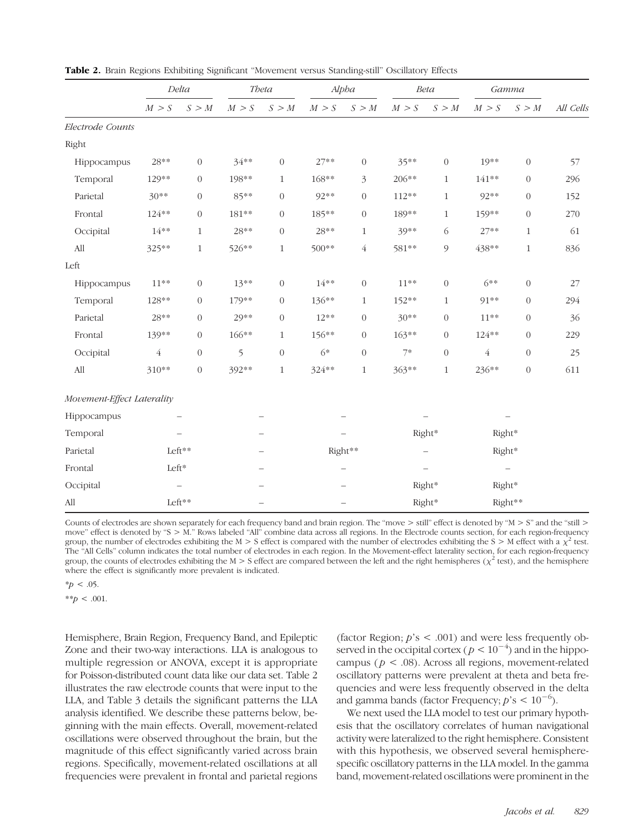|                                  | Delta          |                  | The ta  |                  | Alpha   |                | Beta    |                  | Gamma          |                  |           |
|----------------------------------|----------------|------------------|---------|------------------|---------|----------------|---------|------------------|----------------|------------------|-----------|
|                                  | M > S          | S > M            | M > S   | S > M            | M > S   | $S > M$        | $M > S$ | S > M            | M > S          | S > M            | All Cells |
| Electrode Counts                 |                |                  |         |                  |         |                |         |                  |                |                  |           |
| Right                            |                |                  |         |                  |         |                |         |                  |                |                  |           |
| Hippocampus                      | 28**           | $\theta$         | $34***$ | $\overline{0}$   | $27**$  | $\overline{0}$ | $35***$ | $\overline{0}$   | 19**           | $\boldsymbol{0}$ | 57        |
| Temporal                         | 129**          | $\overline{0}$   | 198**   | $\mathbf{1}$     | 168**   | 3              | 206**   | $\mathbf{1}$     | $141**$        | $\boldsymbol{0}$ | 296       |
| Parietal                         | $30**$         | $\theta$         | 85**    | $\boldsymbol{0}$ | 92**    | $\overline{0}$ | $112**$ | $\mathbf{1}$     | 92**           | $\overline{0}$   | 152       |
| Frontal                          | 124**          | $\overline{0}$   | 181**   | $\overline{0}$   | 185**   | $\overline{0}$ | 189**   | $\mathbf{1}$     | 159**          | $\boldsymbol{0}$ | 270       |
| Occipital                        | $14***$        | $\mathbf{1}$     | $28**$  | $\overline{0}$   | $28**$  | $\mathbf{1}$   | 39**    | 6                | $27**$         | $\mathbf{1}$     | 61        |
| All                              | 325**          | $\mathbf{1}$     | 526**   | 1                | 500**   | $\overline{4}$ | 581**   | $\mathcal{Q}$    | 438**          | $\mathbf{1}$     | 836       |
| Left                             |                |                  |         |                  |         |                |         |                  |                |                  |           |
| Hippocampus                      | $11**$         | $\overline{0}$   | $13***$ | $\overline{0}$   | $14***$ | $\overline{0}$ | $11**$  | $\overline{0}$   | 6**            | $\boldsymbol{0}$ | 27        |
| Temporal                         | 128**          | $\overline{0}$   | 179**   | $\overline{0}$   | 136**   | $\mathbf{1}$   | 152**   | $\mathbf{1}$     | 91**           | $\overline{0}$   | 294       |
| Parietal                         | 28**           | $\overline{0}$   | 29**    | $\overline{0}$   | $12**$  | $\overline{0}$ | $30**$  | $\overline{0}$   | $11**$         | $\overline{0}$   | 36        |
| Frontal                          | 139**          | $\overline{0}$   | 166**   | $\mathbf{1}$     | 156**   | $\overline{0}$ | $163**$ | $\overline{0}$   | 124**          | $\overline{0}$   | 229       |
| Occipital                        | $\overline{4}$ | $\overline{0}$   | 5       | $\overline{0}$   | 6*      | $\overline{0}$ | $7*$    | $\boldsymbol{0}$ | $\overline{4}$ | $\overline{0}$   | 25        |
| $\mathop{\mathrm{All}}\nolimits$ | 310**          | $\boldsymbol{0}$ | 392**   | $\mathbf{1}$     | 324**   | $\mathbf{1}$   | 363**   | $\mathbf{1}$     | 236**          | $\boldsymbol{0}$ | 611       |
| Movement-Effect Laterality       |                |                  |         |                  |         |                |         |                  |                |                  |           |
| Hippocampus                      |                |                  |         |                  |         |                |         |                  |                |                  |           |
| Temporal                         |                |                  |         |                  |         |                |         | Right*           | Right*         |                  |           |
| Parietal                         | Left**         |                  |         |                  |         | Right**        |         |                  | Right*         |                  |           |
| Frontal                          | Left*          |                  |         |                  |         |                |         |                  |                |                  |           |
| Occipital                        |                |                  |         |                  |         |                |         | Right*           | Right*         |                  |           |
| All                              |                | Left**           |         |                  |         |                |         | Right*           | Right**        |                  |           |

Table 2. Brain Regions Exhibiting Significant "Movement versus Standing-still" Oscillatory Effects

Counts of electrodes are shown separately for each frequency band and brain region. The "move  $>$  still" effect is denoted by " $M > S$ " and the "still  $>$ move" effect is denoted by "S > M." Rows labeled "All" combine data across all regions. In the Electrode counts section, for each region-frequency group, the number of electrodes exhibiting the M > S effect is compared with the number of electrodes exhibiting the S > M effect with a  $\chi^2$  test. The "All Cells" column indicates the total number of electrodes in each region. In the Movement-effect laterality section, for each region-frequency group, the counts of electrodes exhibiting the M > S effect are compared between the left and the right hemispheres ( $\chi^2$  test), and the hemisphere where the effect is significantly more prevalent is indicated.

 $* p < .05$ .

 $*_{D}$  < .001.

Hemisphere, Brain Region, Frequency Band, and Epileptic Zone and their two-way interactions. LLA is analogous to multiple regression or ANOVA, except it is appropriate for Poisson-distributed count data like our data set. Table 2 illustrates the raw electrode counts that were input to the LLA, and Table 3 details the significant patterns the LLA analysis identified. We describe these patterns below, beginning with the main effects. Overall, movement-related oscillations were observed throughout the brain, but the magnitude of this effect significantly varied across brain regions. Specifically, movement-related oscillations at all frequencies were prevalent in frontal and parietal regions

(factor Region;  $p's < .001$ ) and were less frequently observed in the occipital cortex ( $p < 10^{-4}$ ) and in the hippocampus ( $p < .08$ ). Across all regions, movement-related oscillatory patterns were prevalent at theta and beta frequencies and were less frequently observed in the delta and gamma bands (factor Frequency;  $p$ 's < 10<sup>-6</sup>).

We next used the LLA model to test our primary hypothesis that the oscillatory correlates of human navigational activity were lateralized to the right hemisphere. Consistent with this hypothesis, we observed several hemispherespecific oscillatory patterns in the LLA model. In the gamma band, movement-related oscillations were prominent in the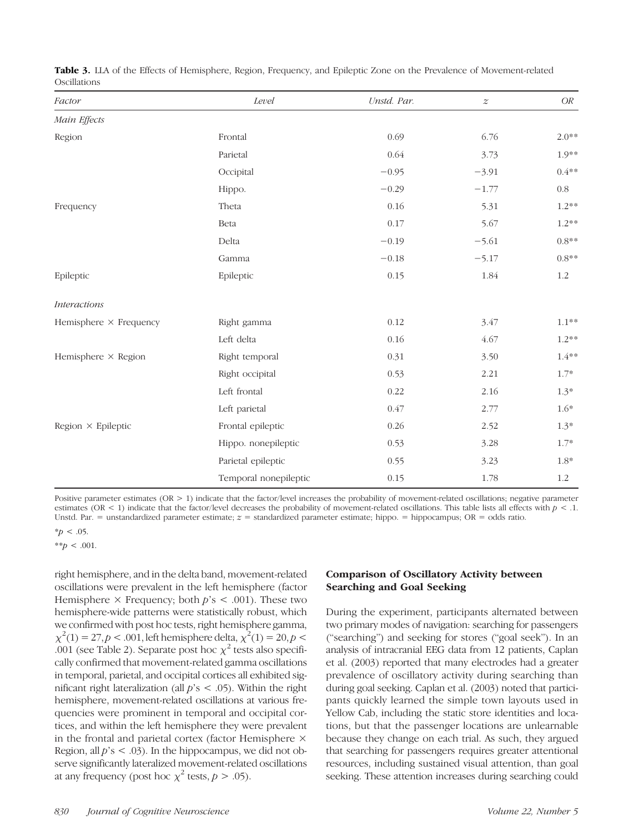| Factor                        | Level                 | Unstd. Par. | $\boldsymbol{z}$ | <b>OR</b>        |
|-------------------------------|-----------------------|-------------|------------------|------------------|
| Main Effects                  |                       |             |                  |                  |
| Region                        | Frontal               | 0.69        | 6.76             | $2.0**$          |
|                               | Parietal              | 0.64        | 3.73             | $1.9**$          |
|                               | Occipital             | $-0.95$     | $-3.91$          | $0.4**$          |
|                               | Hippo.                | $-0.29$     | $-1.77$          | $0.8\,$          |
| Frequency                     | Theta                 | 0.16        | 5.31             | $1.2**$          |
|                               | Beta                  | 0.17        | 5.67             | $1.2**$          |
|                               | Delta                 | $-0.19$     | $-5.61$          | $0.8**$          |
|                               | Gamma                 | $-0.18$     | $-5.17$          | $0.8**$          |
| Epileptic                     | Epileptic             | 0.15        | 1.84             | 1.2              |
| <b>Interactions</b>           |                       |             |                  |                  |
| Hemisphere $\times$ Frequency | Right gamma           | 0.12        | 3.47             | $1.1^{\ast\ast}$ |
|                               | Left delta            | $0.16\,$    | 4.67             | $1.2**$          |
| Hemisphere $\times$ Region    | Right temporal        | 0.31        | 3.50             | $1.4**$          |
|                               | Right occipital       | 0.53        | 2.21             | $1.7*$           |
|                               | Left frontal          | 0.22        | 2.16             | $1.3*$           |
|                               | Left parietal         | 0.47        | 2.77             | $1.6*$           |
| Region $\times$ Epileptic     | Frontal epileptic     | 0.26        | 2.52             | $1.3*$           |
|                               | Hippo. nonepileptic   | 0.53        | 3.28             | $1.7*$           |
|                               | Parietal epileptic    | 0.55        | 3.23             | $1.8\mathrm{*}$  |
|                               | Temporal nonepileptic | 0.15        | 1.78             | 1.2              |

|              |  | Table 3. LLA of the Effects of Hemisphere, Region, Frequency, and Epileptic Zone on the Prevalence of Movement-related |  |  |  |  |  |
|--------------|--|------------------------------------------------------------------------------------------------------------------------|--|--|--|--|--|
| Oscillations |  |                                                                                                                        |  |  |  |  |  |

Positive parameter estimates (OR > 1) indicate that the factor/level increases the probability of movement-related oscillations; negative parameter estimates (OR < 1) indicate that the factor/level decreases the probability of movement-related oscillations. This table lists all effects with  $p < 0.1$ . Unstd. Par. = unstandardized parameter estimate;  $z =$  standardized parameter estimate; hippo. = hippocampus; OR = odds ratio.

 $* p < .05$ .

 $*^*p < .001$ .

right hemisphere, and in the delta band, movement-related oscillations were prevalent in the left hemisphere (factor Hemisphere  $\times$  Frequency; both  $p's < .001$ ). These two hemisphere-wide patterns were statistically robust, which we confirmed with post hoc tests, right hemisphere gamma,  $\chi^2(1) = 27, p < .001$ , left hemisphere delta,  $\chi^2(1) = 20, p <$ .001 (see Table 2). Separate post hoc  $\chi^2$  tests also specifically confirmed that movement-related gamma oscillations in temporal, parietal, and occipital cortices all exhibited significant right lateralization (all  $p$ 's < .05). Within the right hemisphere, movement-related oscillations at various frequencies were prominent in temporal and occipital cortices, and within the left hemisphere they were prevalent in the frontal and parietal cortex (factor Hemisphere × Region, all  $p's < .03$ ). In the hippocampus, we did not observe significantly lateralized movement-related oscillations at any frequency (post hoc  $\chi^2$  tests,  $p > .05$ ).

# Comparison of Oscillatory Activity between Searching and Goal Seeking

During the experiment, participants alternated between two primary modes of navigation: searching for passengers ("searching") and seeking for stores ("goal seek"). In an analysis of intracranial EEG data from 12 patients, Caplan et al. (2003) reported that many electrodes had a greater prevalence of oscillatory activity during searching than during goal seeking. Caplan et al. (2003) noted that participants quickly learned the simple town layouts used in Yellow Cab, including the static store identities and locations, but that the passenger locations are unlearnable because they change on each trial. As such, they argued that searching for passengers requires greater attentional resources, including sustained visual attention, than goal seeking. These attention increases during searching could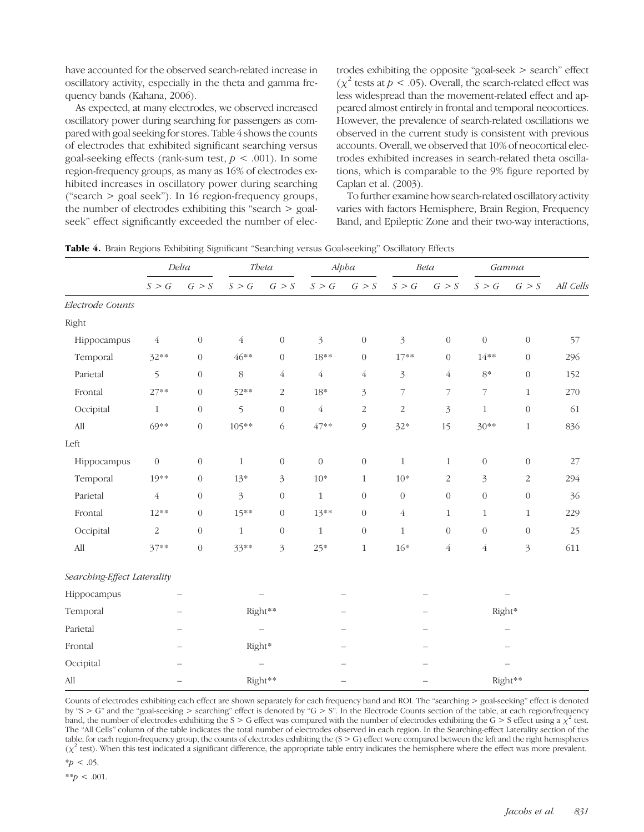have accounted for the observed search-related increase in oscillatory activity, especially in the theta and gamma frequency bands (Kahana, 2006).

As expected, at many electrodes, we observed increased oscillatory power during searching for passengers as compared with goal seeking for stores. Table 4 shows the counts of electrodes that exhibited significant searching versus goal-seeking effects (rank-sum test,  $p < .001$ ). In some region-frequency groups, as many as 16% of electrodes exhibited increases in oscillatory power during searching ("search > goal seek"). In 16 region-frequency groups, the number of electrodes exhibiting this "search > goalseek" effect significantly exceeded the number of elec-

trodes exhibiting the opposite "goal-seek > search" effect ( $\chi^2$  tests at  $p < .05$ ). Overall, the search-related effect was less widespread than the movement-related effect and appeared almost entirely in frontal and temporal neocortices. However, the prevalence of search-related oscillations we observed in the current study is consistent with previous accounts. Overall, we observed that 10% of neocortical electrodes exhibited increases in search-related theta oscillations, which is comparable to the 9% figure reported by Caplan et al. (2003).

To further examine how search-related oscillatory activity varies with factors Hemisphere, Brain Region, Frequency Band, and Epileptic Zone and their two-way interactions,

| Table 4. Brain Regions Exhibiting Significant "Searching versus Goal-seeking" Oscillatory Effects |  |  |  |
|---------------------------------------------------------------------------------------------------|--|--|--|
|---------------------------------------------------------------------------------------------------|--|--|--|

|                             |                  | Delta            | Theta          |                  | Alpha            |                  | Beta             |                           | Gamma            |                           |           |
|-----------------------------|------------------|------------------|----------------|------------------|------------------|------------------|------------------|---------------------------|------------------|---------------------------|-----------|
|                             | S > G            | G > S            | S > G          | G > S            | $S\,>\,G$        | $G\,>\,S$        | $S\,>\,G$        | G > S                     | S > G            | G > S                     | All Cells |
| Electrode Counts            |                  |                  |                |                  |                  |                  |                  |                           |                  |                           |           |
| Right                       |                  |                  |                |                  |                  |                  |                  |                           |                  |                           |           |
| Hippocampus                 | $\overline{4}$   | $\boldsymbol{0}$ | $\overline{4}$ | $\boldsymbol{0}$ | $\mathfrak{Z}$   | $\boldsymbol{0}$ | $\mathfrak{Z}$   | $\boldsymbol{0}$          | $\boldsymbol{0}$ | $\boldsymbol{0}$          | 57        |
| Temporal                    | 32**             | $\boldsymbol{0}$ | 46**           | $\overline{0}$   | $18**$           | $\overline{0}$   | $17**$           | $\overline{0}$            | $14**$           | $\boldsymbol{0}$          | 296       |
| Parietal                    | 5                | $\boldsymbol{0}$ | $8\,$          | $\overline{4}$   | $\overline{4}$   | $\overline{4}$   | $\mathfrak{Z}$   | $\overline{4}$            | $8*$             | $\boldsymbol{0}$          | 152       |
| Frontal                     | $27**$           | $\boldsymbol{0}$ | $52**$         | $\overline{2}$   | $18*$            | 3                | 7                | 7                         | $\overline{7}$   | $\mathbf{1}$              | 270       |
| Occipital                   | $\mathbf{1}$     | $\boldsymbol{0}$ | 5              | $\boldsymbol{0}$ | $\sqrt{ }$       | $\overline{c}$   | $\overline{c}$   | $\overline{\mathfrak{Z}}$ | $\mathbf{1}$     | $\boldsymbol{0}$          | 61        |
| All                         | 69**             | $\boldsymbol{0}$ | $105**$        | 6                | $47**$           | 9                | $32*$            | 15                        | $30**$           | $\mathbf{1}$              | 836       |
| Left                        |                  |                  |                |                  |                  |                  |                  |                           |                  |                           |           |
| Hippocampus                 | $\boldsymbol{0}$ | $\boldsymbol{0}$ | $\mathbf{1}$   | $\boldsymbol{0}$ | $\boldsymbol{0}$ | $\boldsymbol{0}$ | $1\,$            | $\mathbf{1}$              | $\boldsymbol{0}$ | $\boldsymbol{0}$          | 27        |
| Temporal                    | $19**$           | $\boldsymbol{0}$ | $13*$          | 3                | $10*$            | $\mathbf{1}$     | $10*$            | $\overline{2}$            | $\mathfrak{Z}$   | $\overline{c}$            | 294       |
| Parietal                    | $\overline{4}$   | $\boldsymbol{0}$ | $\overline{3}$ | $\overline{0}$   | $\mathbf{1}$     | $\overline{0}$   | $\boldsymbol{0}$ | $\theta$                  | $\boldsymbol{0}$ | $\boldsymbol{0}$          | 36        |
| Frontal                     | $12**$           | $\boldsymbol{0}$ | $15***$        | $\overline{0}$   | $13***$          | $\boldsymbol{0}$ | $\overline{4}$   | $\mathbf{1}$              | $\mathbf{1}$     | $\mathbf{1}$              | 229       |
| Occipital                   | 2                | $\boldsymbol{0}$ | $\mathbf{1}$   | $\overline{0}$   | $\mathbf{1}$     | $\boldsymbol{0}$ | $1\,$            | $\boldsymbol{0}$          | $\boldsymbol{0}$ | $\boldsymbol{0}$          | 25        |
| All                         | $37**$           | $\boldsymbol{0}$ | $33***$        | 3                | $25*$            | $\mathbf{1}$     | $16*$            | $\overline{4}$            | $\overline{4}$   | $\overline{\mathfrak{Z}}$ | 611       |
| Searching-Effect Laterality |                  |                  |                |                  |                  |                  |                  |                           |                  |                           |           |
| Hippocampus                 |                  |                  |                |                  |                  |                  |                  |                           |                  |                           |           |
| Temporal                    |                  |                  |                | Right**          |                  |                  |                  |                           | Right*           |                           |           |
| Parietal                    |                  |                  |                |                  |                  |                  |                  |                           |                  |                           |           |
| Frontal                     |                  |                  | Right*         |                  |                  |                  |                  |                           |                  |                           |           |
| Occipital                   |                  |                  |                |                  |                  |                  |                  |                           |                  |                           |           |
| All                         |                  |                  |                | Right**          |                  |                  |                  |                           |                  | Right**                   |           |

Counts of electrodes exhibiting each effect are shown separately for each frequency band and ROI. The "searching > goal-seeking" effect is denoted by "S>G" and the "goal-seeking > searching" effect is denoted by "G>S". In the Electrode Counts section of the table, at each region/frequency band, the number of electrodes exhibiting the S > G effect was compared with the number of electrodes exhibiting the G > S effect using a  $\chi^2$  test. The "All Cells" column of the table indicates the total number of electrodes observed in each region. In the Searching-effect Laterality section of the table, for each region-frequency group, the counts of electrodes exhibiting the (S > G) effect were compared between the left and the right hemispheres  $(\chi^2 \text{ test})$ . When this test indicated a significant difference, the appropriate table entry indicates the hemisphere where the effect was more prevalent.

$$
p < .05
$$

 $*_{D}$  < .001.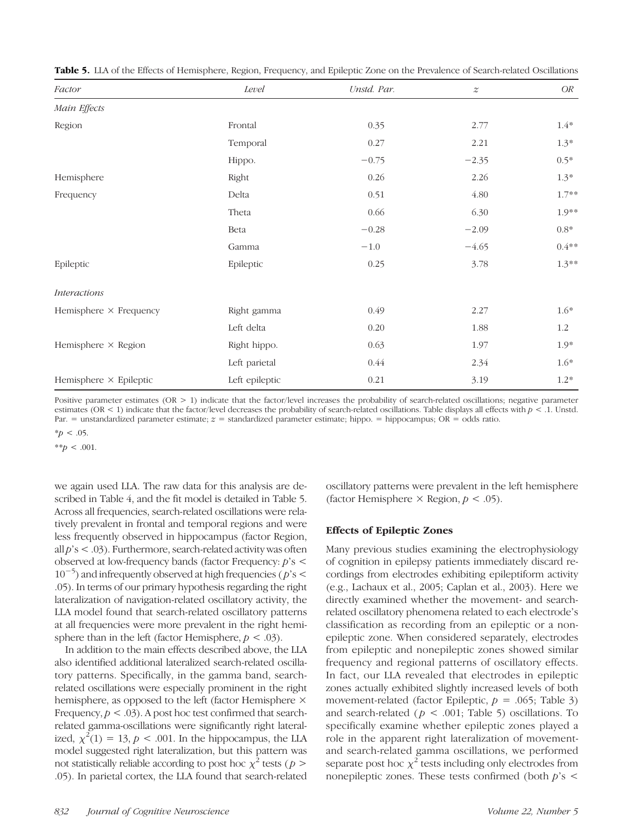| Factor                        | Level          | Unstd. Par. | $\boldsymbol{z}$ | OR       |
|-------------------------------|----------------|-------------|------------------|----------|
| Main Effects                  |                |             |                  |          |
| Region                        | Frontal        | 0.35        | 2.77             | $1.4*$   |
|                               | Temporal       | 0.27        | 2.21             | $1.3*$   |
|                               | Hippo.         | $-0.75$     | $-2.35$          | $0.5*$   |
| Hemisphere                    | Right          | 0.26        | 2.26             | $1.3*$   |
| Frequency                     | Delta          | 0.51        | 4.80             | $1.7**$  |
|                               | Theta          | 0.66        | 6.30             | $1.9**$  |
|                               | Beta           | $-0.28$     | $-2.09$          | $0.8*$   |
|                               | Gamma          | $-1.0\,$    | $-4.65$          | $0.4**$  |
| Epileptic                     | Epileptic      | 0.25        | 3.78             | $1.3***$ |
| <b>Interactions</b>           |                |             |                  |          |
| Hemisphere × Frequency        | Right gamma    | 0.49        | 2.27             | $1.6*$   |
|                               | Left delta     | 0.20        | 1.88             | $1.2\,$  |
| Hemisphere $\times$ Region    | Right hippo.   | 0.63        | 1.97             | $1.9*$   |
|                               | Left parietal  | 0.44        | 2.34             | $1.6*$   |
| Hemisphere $\times$ Epileptic | Left epileptic | 0.21        | 3.19             | $1.2*$   |

Table 5. LLA of the Effects of Hemisphere, Region, Frequency, and Epileptic Zone on the Prevalence of Search-related Oscillations

Positive parameter estimates (OR  $> 1$ ) indicate that the factor/level increases the probability of search-related oscillations; negative parameter estimates (OR < 1) indicate that the factor/level decreases the probability of search-related oscillations. Table displays all effects with  $p < 0.1$ . Unstd. Par. = unstandardized parameter estimate;  $z =$  standardized parameter estimate; hippo. = hippocampus; OR = odds ratio.

 $*_{\mathcal{D}} < .05$ .

 $*_{D}$  < .001.

we again used LLA. The raw data for this analysis are described in Table 4, and the fit model is detailed in Table 5. Across all frequencies, search-related oscillations were relatively prevalent in frontal and temporal regions and were less frequently observed in hippocampus (factor Region, all  $p$ 's < .03). Furthermore, search-related activity was often observed at low-frequency bands (factor Frequency: p's <  $10^{-5}$ ) and infrequently observed at high frequencies ( $\dot{p}$ 's < .05). In terms of our primary hypothesis regarding the right lateralization of navigation-related oscillatory activity, the LLA model found that search-related oscillatory patterns at all frequencies were more prevalent in the right hemisphere than in the left (factor Hemisphere,  $p < .03$ ).

In addition to the main effects described above, the LLA also identified additional lateralized search-related oscillatory patterns. Specifically, in the gamma band, searchrelated oscillations were especially prominent in the right hemisphere, as opposed to the left (factor Hemisphere × Frequency,  $p < .03$ ). A post hoc test confirmed that searchrelated gamma-oscillations were significantly right lateralized,  $\chi^2(1) = 13$ ,  $p < .001$ . In the hippocampus, the LLA model suggested right lateralization, but this pattern was not statistically reliable according to post hoc  $\chi^2$  tests ( $p >$ .05). In parietal cortex, the LLA found that search-related

oscillatory patterns were prevalent in the left hemisphere (factor Hemisphere  $\times$  Region,  $p < .05$ ).

# Effects of Epileptic Zones

Many previous studies examining the electrophysiology of cognition in epilepsy patients immediately discard recordings from electrodes exhibiting epileptiform activity (e.g., Lachaux et al., 2005; Caplan et al., 2003). Here we directly examined whether the movement- and searchrelated oscillatory phenomena related to each electrode's classification as recording from an epileptic or a nonepileptic zone. When considered separately, electrodes from epileptic and nonepileptic zones showed similar frequency and regional patterns of oscillatory effects. In fact, our LLA revealed that electrodes in epileptic zones actually exhibited slightly increased levels of both movement-related (factor Epileptic,  $p = .065$ ; Table 3) and search-related ( $p < .001$ ; Table 5) oscillations. To specifically examine whether epileptic zones played a role in the apparent right lateralization of movementand search-related gamma oscillations, we performed separate post hoc  $\chi^2$  tests including only electrodes from nonepileptic zones. These tests confirmed (both  $p's <$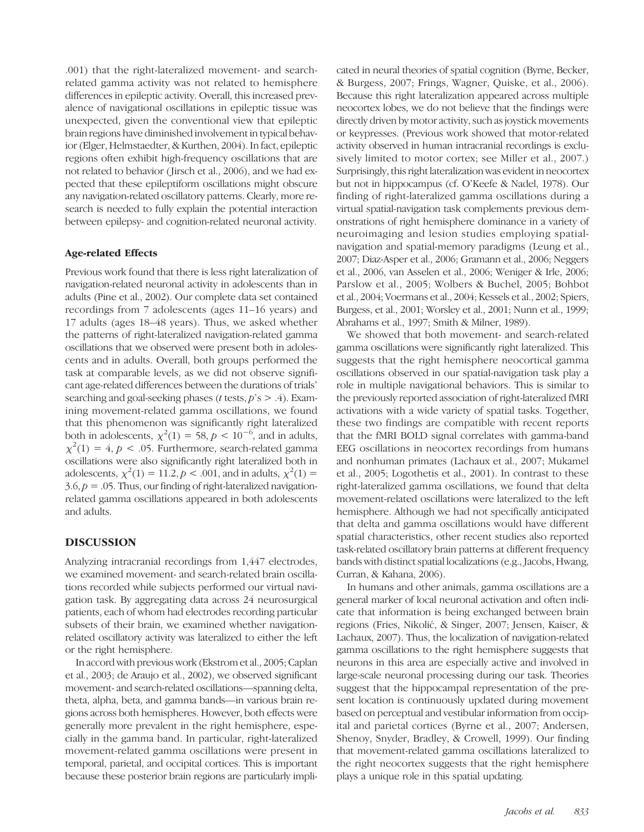.001) that the right-lateralized movement- and searchrelated gamma activity was not related to hemisphere differences in epileptic activity. Overall, this increased prevalence of navigational oscillations in epileptic tissue was unexpected, given the conventional view that epileptic brain regions have diminished involvement in typical behavior (Elger, Helmstaedter, & Kurthen, 2004). In fact, epileptic regions often exhibit high-frequency oscillations that are not related to behavior ( Jirsch et al., 2006), and we had expected that these epileptiform oscillations might obscure any navigation-related oscillatory patterns. Clearly, more research is needed to fully explain the potential interaction between epilepsy- and cognition-related neuronal activity.

## Age-related Effects

Previous work found that there is less right lateralization of navigation-related neuronal activity in adolescents than in adults (Pine et al., 2002). Our complete data set contained recordings from 7 adolescents (ages 11–16 years) and 17 adults (ages 18–48 years). Thus, we asked whether the patterns of right-lateralized navigation-related gamma oscillations that we observed were present both in adolescents and in adults. Overall, both groups performed the task at comparable levels, as we did not observe significant age-related differences between the durations of trials' searching and goal-seeking phases (*t* tests,  $p$ 's  $> .4$ ). Examining movement-related gamma oscillations, we found that this phenomenon was significantly right lateralized both in adolescents,  $\chi^2(1) = 58$ ,  $p < 10^{-6}$ , and in adults,  $\chi^2(1) = 4$ ,  $p < .05$ . Furthermore, search-related gamma oscillations were also significantly right lateralized both in adolescents,  $\chi^2(1) = 11.2, p < .001$ , and in adults,  $\chi^2(1) =$  $3.6, p = .05$ . Thus, our finding of right-lateralized navigationrelated gamma oscillations appeared in both adolescents and adults.

# DISCUSSION

Analyzing intracranial recordings from 1,447 electrodes, we examined movement- and search-related brain oscillations recorded while subjects performed our virtual navigation task. By aggregating data across 24 neurosurgical patients, each of whom had electrodes recording particular subsets of their brain, we examined whether navigationrelated oscillatory activity was lateralized to either the left or the right hemisphere.

In accord with previous work (Ekstrom et al., 2005; Caplan et al., 2003; de Araujo et al., 2002), we observed significant movement- and search-related oscillations—spanning delta, theta, alpha, beta, and gamma bands—in various brain regions across both hemispheres. However, both effects were generally more prevalent in the right hemisphere, especially in the gamma band. In particular, right-lateralized movement-related gamma oscillations were present in temporal, parietal, and occipital cortices. This is important because these posterior brain regions are particularly impli-

cated in neural theories of spatial cognition (Byrne, Becker, & Burgess, 2007; Frings, Wagner, Quiske, et al., 2006). Because this right lateralization appeared across multiple neocortex lobes, we do not believe that the findings were directly driven by motor activity, such as joystick movements or keypresses. (Previous work showed that motor-related activity observed in human intracranial recordings is exclusively limited to motor cortex; see Miller et al., 2007.) Surprisingly, this right lateralization was evident in neocortex but not in hippocampus (cf. O'Keefe & Nadel, 1978). Our finding of right-lateralized gamma oscillations during a virtual spatial-navigation task complements previous demonstrations of right hemisphere dominance in a variety of neuroimaging and lesion studies employing spatialnavigation and spatial-memory paradigms (Leung et al., 2007; Diaz-Asper et al., 2006; Gramann et al., 2006; Neggers et al., 2006, van Asselen et al., 2006; Weniger & Irle, 2006; Parslow et al., 2005; Wolbers & Buchel, 2005; Bohbot et al., 2004; Voermans et al., 2004; Kessels et al., 2002; Spiers, Burgess, et al., 2001; Worsley et al., 2001; Nunn et al., 1999; Abrahams et al., 1997; Smith & Milner, 1989).

We showed that both movement- and search-related gamma oscillations were significantly right lateralized. This suggests that the right hemisphere neocortical gamma oscillations observed in our spatial-navigation task play a role in multiple navigational behaviors. This is similar to the previously reported association of right-lateralized fMRI activations with a wide variety of spatial tasks. Together, these two findings are compatible with recent reports that the fMRI BOLD signal correlates with gamma-band EEG oscillations in neocortex recordings from humans and nonhuman primates (Lachaux et al., 2007; Mukamel et al., 2005; Logothetis et al., 2001). In contrast to these right-lateralized gamma oscillations, we found that delta movement-related oscillations were lateralized to the left hemisphere. Although we had not specifically anticipated that delta and gamma oscillations would have different spatial characteristics, other recent studies also reported task-related oscillatory brain patterns at different frequency bands with distinct spatial localizations (e.g., Jacobs, Hwang, Curran, & Kahana, 2006).

In humans and other animals, gamma oscillations are a general marker of local neuronal activation and often indicate that information is being exchanged between brain regions (Fries, Nikolić, & Singer, 2007; Jensen, Kaiser, & Lachaux, 2007). Thus, the localization of navigation-related gamma oscillations to the right hemisphere suggests that neurons in this area are especially active and involved in large-scale neuronal processing during our task. Theories suggest that the hippocampal representation of the present location is continuously updated during movement based on perceptual and vestibular information from occipital and parietal cortices (Byrne et al., 2007; Andersen, Shenoy, Snyder, Bradley, & Crowell, 1999). Our finding that movement-related gamma oscillations lateralized to the right neocortex suggests that the right hemisphere plays a unique role in this spatial updating.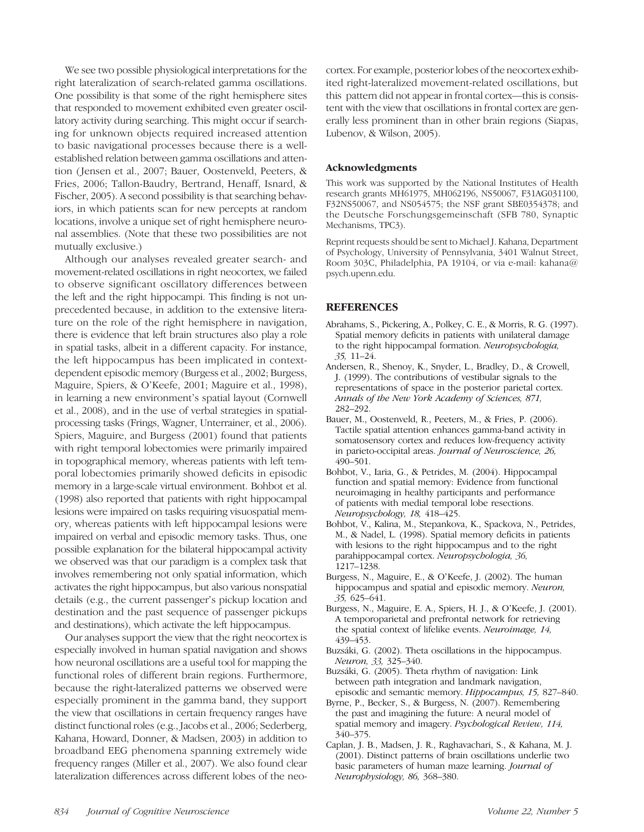We see two possible physiological interpretations for the right lateralization of search-related gamma oscillations. One possibility is that some of the right hemisphere sites that responded to movement exhibited even greater oscillatory activity during searching. This might occur if searching for unknown objects required increased attention to basic navigational processes because there is a wellestablished relation between gamma oscillations and attention ( Jensen et al., 2007; Bauer, Oostenveld, Peeters, & Fries, 2006; Tallon-Baudry, Bertrand, Henaff, Isnard, & Fischer, 2005). A second possibility is that searching behaviors, in which patients scan for new percepts at random locations, involve a unique set of right hemisphere neuronal assemblies. (Note that these two possibilities are not mutually exclusive.)

Although our analyses revealed greater search- and movement-related oscillations in right neocortex, we failed to observe significant oscillatory differences between the left and the right hippocampi. This finding is not unprecedented because, in addition to the extensive literature on the role of the right hemisphere in navigation, there is evidence that left brain structures also play a role in spatial tasks, albeit in a different capacity. For instance, the left hippocampus has been implicated in contextdependent episodic memory (Burgess et al., 2002; Burgess, Maguire, Spiers, & O'Keefe, 2001; Maguire et al., 1998), in learning a new environment's spatial layout (Cornwell et al., 2008), and in the use of verbal strategies in spatialprocessing tasks (Frings, Wagner, Unterrainer, et al., 2006). Spiers, Maguire, and Burgess (2001) found that patients with right temporal lobectomies were primarily impaired in topographical memory, whereas patients with left temporal lobectomies primarily showed deficits in episodic memory in a large-scale virtual environment. Bohbot et al. (1998) also reported that patients with right hippocampal lesions were impaired on tasks requiring visuospatial memory, whereas patients with left hippocampal lesions were impaired on verbal and episodic memory tasks. Thus, one possible explanation for the bilateral hippocampal activity we observed was that our paradigm is a complex task that involves remembering not only spatial information, which activates the right hippocampus, but also various nonspatial details (e.g., the current passenger's pickup location and destination and the past sequence of passenger pickups and destinations), which activate the left hippocampus.

Our analyses support the view that the right neocortex is especially involved in human spatial navigation and shows how neuronal oscillations are a useful tool for mapping the functional roles of different brain regions. Furthermore, because the right-lateralized patterns we observed were especially prominent in the gamma band, they support the view that oscillations in certain frequency ranges have distinct functional roles (e.g., Jacobs et al., 2006; Sederberg, Kahana, Howard, Donner, & Madsen, 2003) in addition to broadband EEG phenomena spanning extremely wide frequency ranges (Miller et al., 2007). We also found clear lateralization differences across different lobes of the neocortex. For example, posterior lobes of the neocortex exhibited right-lateralized movement-related oscillations, but this pattern did not appear in frontal cortex—this is consistent with the view that oscillations in frontal cortex are generally less prominent than in other brain regions (Siapas, Lubenov, & Wilson, 2005).

#### Acknowledgments

This work was supported by the National Institutes of Health research grants MH61975, MH062196, NS50067, F31AG031100, F32NS50067, and NS054575; the NSF grant SBE0354378; and the Deutsche Forschungsgemeinschaft (SFB 780, Synaptic Mechanisms, TPC3).

Reprint requests should be sent to Michael J. Kahana, Department of Psychology, University of Pennsylvania, 3401 Walnut Street, Room 303C, Philadelphia, PA 19104, or via e-mail: kahana@ psych.upenn.edu.

#### REFERENCES

- Abrahams, S., Pickering, A., Polkey, C. E., & Morris, R. G. (1997). Spatial memory deficits in patients with unilateral damage to the right hippocampal formation. Neuropsychologia, 35, 11–24.
- Andersen, R., Shenoy, K., Snyder, L., Bradley, D., & Crowell, J. (1999). The contributions of vestibular signals to the representations of space in the posterior parietal cortex. Annals of the New York Academy of Sciences, 871, 282–292.
- Bauer, M., Oostenveld, R., Peeters, M., & Fries, P. (2006). Tactile spatial attention enhances gamma-band activity in somatosensory cortex and reduces low-frequency activity in parieto-occipital areas. Journal of Neuroscience, 26, 490–501.
- Bohbot, V., Iaria, G., & Petrides, M. (2004). Hippocampal function and spatial memory: Evidence from functional neuroimaging in healthy participants and performance of patients with medial temporal lobe resections. Neuropsychology, 18, 418–425.
- Bohbot, V., Kalina, M., Stepankova, K., Spackova, N., Petrides, M., & Nadel, L. (1998). Spatial memory deficits in patients with lesions to the right hippocampus and to the right parahippocampal cortex. Neuropsychologia, 36, 1217–1238.
- Burgess, N., Maguire, E., & O'Keefe, J. (2002). The human hippocampus and spatial and episodic memory. Neuron, 35, 625–641.
- Burgess, N., Maguire, E. A., Spiers, H. J., & O'Keefe, J. (2001). A temporoparietal and prefrontal network for retrieving the spatial context of lifelike events. Neuroimage, 14, 439–453.
- Buzsáki, G. (2002). Theta oscillations in the hippocampus. Neuron, 33, 325–340.
- Buzsáki, G. (2005). Theta rhythm of navigation: Link between path integration and landmark navigation, episodic and semantic memory. Hippocampus, 15, 827–840.
- Byrne, P., Becker, S., & Burgess, N. (2007). Remembering the past and imagining the future: A neural model of spatial memory and imagery. Psychological Review, 114, 340–375.
- Caplan, J. B., Madsen, J. R., Raghavachari, S., & Kahana, M. J. (2001). Distinct patterns of brain oscillations underlie two basic parameters of human maze learning. Journal of Neurophysiology, 86, 368–380.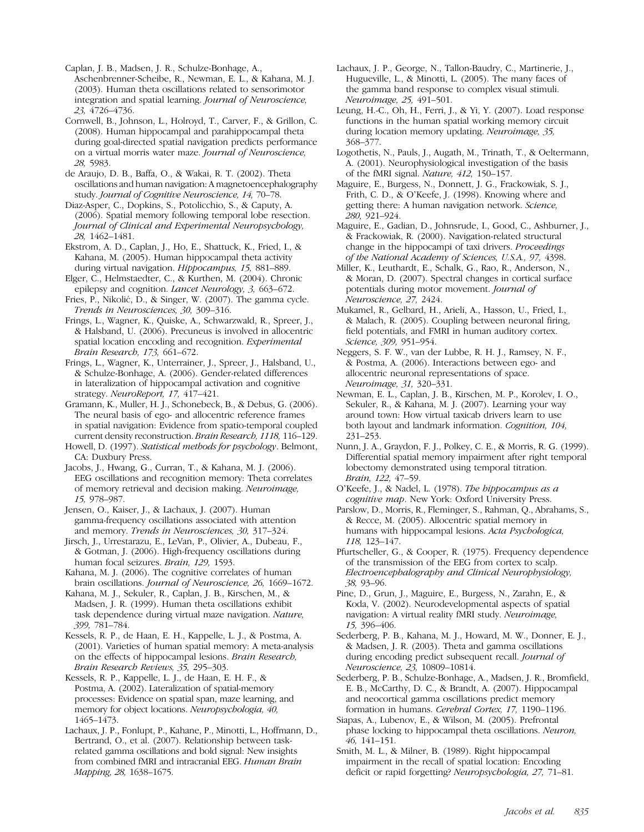Caplan, J. B., Madsen, J. R., Schulze-Bonhage, A.,

Aschenbrenner-Scheibe, R., Newman, E. L., & Kahana, M. J. (2003). Human theta oscillations related to sensorimotor integration and spatial learning. Journal of Neuroscience, 23, 4726–4736.

Cornwell, B., Johnson, L., Holroyd, T., Carver, F., & Grillon, C. (2008). Human hippocampal and parahippocampal theta during goal-directed spatial navigation predicts performance on a virtual morris water maze. Journal of Neuroscience, 28, 5983.

de Araujo, D. B., Baffa, O., & Wakai, R. T. (2002). Theta oscillations and human navigation: A magnetoencephalography study. Journal of Cognitive Neuroscience, 14, 70–78.

Diaz-Asper, C., Dopkins, S., Potolicchio, S., & Caputy, A. (2006). Spatial memory following temporal lobe resection. Journal of Clinical and Experimental Neuropsychology, 28, 1462–1481.

Ekstrom, A. D., Caplan, J., Ho, E., Shattuck, K., Fried, I., & Kahana, M. (2005). Human hippocampal theta activity during virtual navigation. Hippocampus, 15, 881–889.

Elger, C., Helmstaedter, C., & Kurthen, M. (2004). Chronic epilepsy and cognition. Lancet Neurology, 3, 663–672.

Fries, P., Nikolić, D., & Singer, W. (2007). The gamma cycle. Trends in Neurosciences, 30, 309–316.

Frings, L., Wagner, K., Quiske, A., Schwarzwald, R., Spreer, J., & Halsband, U. (2006). Precuneus is involved in allocentric spatial location encoding and recognition. Experimental Brain Research, 173, 661–672.

Frings, L., Wagner, K., Unterrainer, J., Spreer, J., Halsband, U., & Schulze-Bonhage, A. (2006). Gender-related differences in lateralization of hippocampal activation and cognitive strategy. NeuroReport, 17, 417–421.

Gramann, K., Muller, H. J., Schonebeck, B., & Debus, G. (2006). The neural basis of ego- and allocentric reference frames in spatial navigation: Evidence from spatio-temporal coupled current density reconstruction. Brain Research, 1118, 116–129.

Howell, D. (1997). Statistical methods for psychology. Belmont, CA: Duxbury Press.

Jacobs, J., Hwang, G., Curran, T., & Kahana, M. J. (2006). EEG oscillations and recognition memory: Theta correlates of memory retrieval and decision making. Neuroimage, 15, 978–987.

Jensen, O., Kaiser, J., & Lachaux, J. (2007). Human gamma-frequency oscillations associated with attention and memory. Trends in Neurosciences, 30, 317–324.

Jirsch, J., Urrestarazu, E., LeVan, P., Olivier, A., Dubeau, F., & Gotman, J. (2006). High-frequency oscillations during human focal seizures. Brain, 129, 1593.

Kahana, M. J. (2006). The cognitive correlates of human brain oscillations. Journal of Neuroscience, 26, 1669–1672.

Kahana, M. J., Sekuler, R., Caplan, J. B., Kirschen, M., & Madsen, J. R. (1999). Human theta oscillations exhibit task dependence during virtual maze navigation. Nature, 399, 781–784.

Kessels, R. P., de Haan, E. H., Kappelle, L. J., & Postma, A. (2001). Varieties of human spatial memory: A meta-analysis on the effects of hippocampal lesions. Brain Research, Brain Research Reviews, 35, 295–303.

Kessels, R. P., Kappelle, L. J., de Haan, E. H. F., & Postma, A. (2002). Lateralization of spatial-memory processes: Evidence on spatial span, maze learning, and memory for object locations. Neuropsychologia, 40, 1465–1473.

Lachaux, J. P., Fonlupt, P., Kahane, P., Minotti, L., Hoffmann, D., Bertrand, O., et al. (2007). Relationship between taskrelated gamma oscillations and bold signal: New insights from combined fMRI and intracranial EEG. Human Brain Mapping, 28, 1638–1675.

Lachaux, J. P., George, N., Tallon-Baudry, C., Martinerie, J., Hugueville, L., & Minotti, L. (2005). The many faces of the gamma band response to complex visual stimuli. Neuroimage, 25, 491–501.

Leung, H.-C., Oh, H., Ferri, J., & Yi, Y. (2007). Load response functions in the human spatial working memory circuit during location memory updating. Neuroimage, 35, 368–377.

Logothetis, N., Pauls, J., Augath, M., Trinath, T., & Oeltermann, A. (2001). Neurophysiological investigation of the basis of the fMRI signal. Nature, 412, 150–157.

Maguire, E., Burgess, N., Donnett, J. G., Frackowiak, S. J., Frith, C. D., & O'Keefe, J. (1998). Knowing where and getting there: A human navigation network. Science, 280, 921–924.

Maguire, E., Gadian, D., Johnsrude, I., Good, C., Ashburner, J., & Frackowiak, R. (2000). Navigation-related structural change in the hippocampi of taxi drivers. Proceedings of the National Academy of Sciences, U.S.A., 97, 4398.

Miller, K., Leuthardt, E., Schalk, G., Rao, R., Anderson, N., & Moran, D. (2007). Spectral changes in cortical surface potentials during motor movement. Journal of Neuroscience, 27, 2424.

Mukamel, R., Gelbard, H., Arieli, A., Hasson, U., Fried, I., & Malach, R. (2005). Coupling between neuronal firing, field potentials, and FMRI in human auditory cortex. Science, 309, 951–954.

Neggers, S. F. W., van der Lubbe, R. H. J., Ramsey, N. F., & Postma, A. (2006). Interactions between ego- and allocentric neuronal representations of space. Neuroimage, 31, 320–331.

Newman, E. L., Caplan, J. B., Kirschen, M. P., Korolev, I. O., Sekuler, R., & Kahana, M. J. (2007). Learning your way around town: How virtual taxicab drivers learn to use both layout and landmark information. Cognition, 104, 231–253.

Nunn, J. A., Graydon, F. J., Polkey, C. E., & Morris, R. G. (1999). Differential spatial memory impairment after right temporal lobectomy demonstrated using temporal titration. Brain, 122, 47–59.

O'Keefe, J., & Nadel, L. (1978). The hippocampus as a cognitive map. New York: Oxford University Press.

Parslow, D., Morris, R., Fleminger, S., Rahman, Q., Abrahams, S., & Recce, M. (2005). Allocentric spatial memory in humans with hippocampal lesions. Acta Psychologica, 118, 123–147.

Pfurtscheller, G., & Cooper, R. (1975). Frequency dependence of the transmission of the EEG from cortex to scalp. Electroencephalography and Clinical Neurophysiology, 38, 93–96.

Pine, D., Grun, J., Maguire, E., Burgess, N., Zarahn, E., & Koda, V. (2002). Neurodevelopmental aspects of spatial navigation: A virtual reality fMRI study. Neuroimage, 15, 396–406.

Sederberg, P. B., Kahana, M. J., Howard, M. W., Donner, E. J., & Madsen, J. R. (2003). Theta and gamma oscillations during encoding predict subsequent recall. Journal of Neuroscience, 23, 10809–10814.

Sederberg, P. B., Schulze-Bonhage, A., Madsen, J. R., Bromfield, E. B., McCarthy, D. C., & Brandt, A. (2007). Hippocampal and neocortical gamma oscillations predict memory formation in humans. Cerebral Cortex, 17, 1190–1196.

Siapas, A., Lubenov, E., & Wilson, M. (2005). Prefrontal phase locking to hippocampal theta oscillations. Neuron, 46, 141–151.

Smith, M. L., & Milner, B. (1989). Right hippocampal impairment in the recall of spatial location: Encoding deficit or rapid forgetting? Neuropsychologia, 27, 71–81.